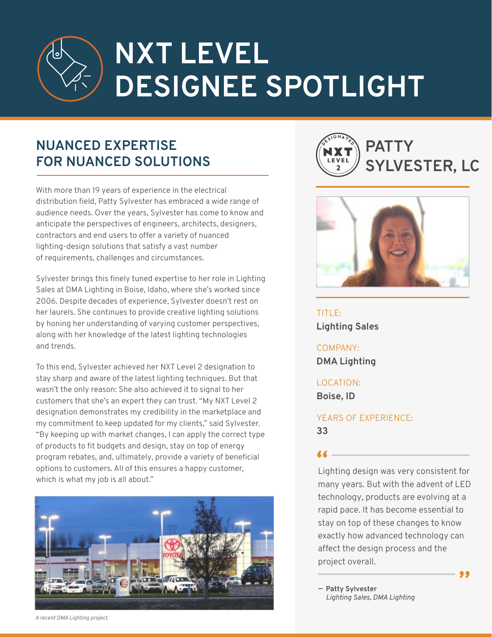## **NXT LEVEL DESIGNEE SPOTLIGHT**

## **NUANCED EXPERTISE FOR NUANCED SOLUTIONS**

With more than 19 years of experience in the electrical distribution field, Patty Sylvester has embraced a wide range of audience needs. Over the years, Sylvester has come to know and anticipate the perspectives of engineers, architects, designers, contractors and end users to offer a variety of nuanced lighting-design solutions that satisfy a vast number of requirements, challenges and circumstances.

Sylvester brings this finely tuned expertise to her role in Lighting Sales at DMA Lighting in Boise, Idaho, where she's worked since 2006. Despite decades of experience, Sylvester doesn't rest on her laurels. She continues to provide creative lighting solutions by honing her understanding of varying customer perspectives, along with her knowledge of the latest lighting technologies and trends.

To this end, Sylvester achieved her NXT Level 2 designation to stay sharp and aware of the latest lighting techniques. But that wasn't the only reason: She also achieved it to signal to her customers that she's an expert they can trust. "My NXT Level 2 designation demonstrates my credibility in the marketplace and my commitment to keep updated for my clients," said Sylvester. "By keeping up with market changes, I can apply the correct type of products to fit budgets and design, stay on top of energy program rebates, and, ultimately, provide a variety of beneficial options to customers. All of this ensures a happy customer, which is what my job is all about."







TITLE: **Lighting Sales** 

COMPANY: **DMA Lighting**

LOCATION: **Boise, ID** 

YEARS OF EXPERIENCE: **33**

**"** Lighting design was very consistent for many years. But with the advent of LED technology, products are evolving at a rapid pace. It has become essential to stay on top of these changes to know exactly how advanced technology can affect the design process and the project overall.

**"**

**Patty Sylvester —** *Lighting Sales, DMA Lighting*